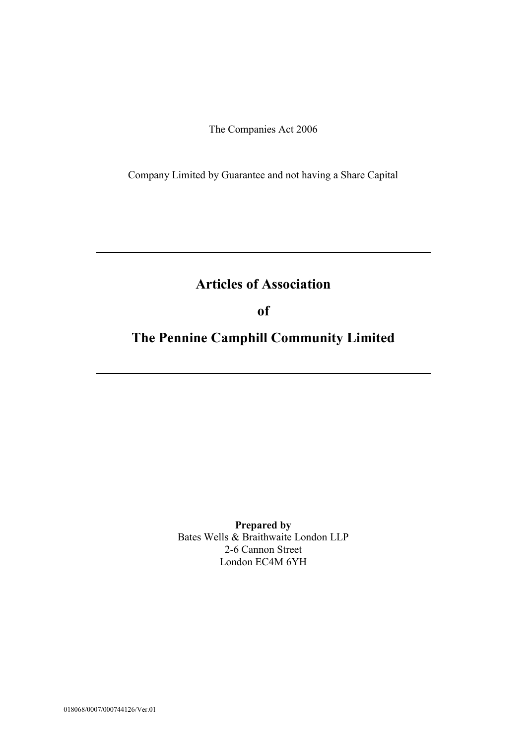The Companies Act 2006

Company Limited by Guarantee and not having a Share Capital

# **Articles of Association**

**\_\_\_\_\_\_\_\_\_\_\_\_\_\_\_\_\_\_\_\_\_\_\_\_\_\_\_\_\_\_\_\_\_\_\_\_\_\_\_\_\_\_\_\_\_\_\_\_\_\_\_\_\_\_\_\_\_\_\_\_\_\_\_**

**of**

# **The Pennine Camphill Community Limited**

**\_\_\_\_\_\_\_\_\_\_\_\_\_\_\_\_\_\_\_\_\_\_\_\_\_\_\_\_\_\_\_\_\_\_\_\_\_\_\_\_\_\_\_\_\_\_\_\_\_\_\_\_\_\_\_\_\_\_\_\_\_\_\_**

**Prepared by** Bates Wells & Braithwaite London LLP 2-6 Cannon Street London EC4M 6YH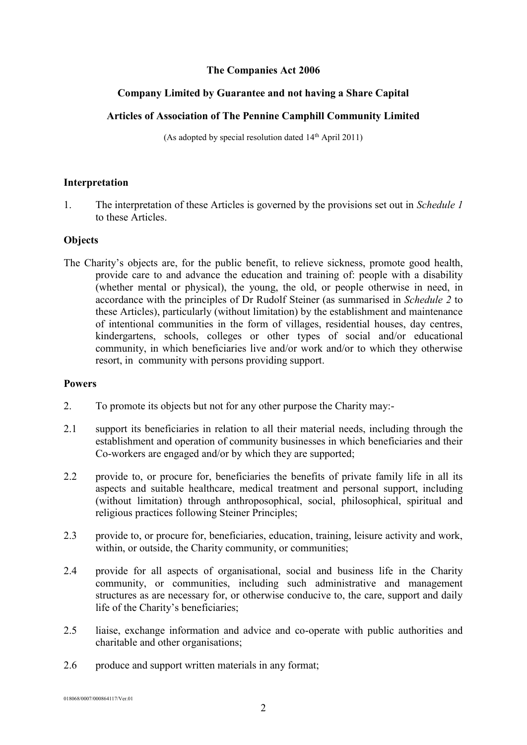#### **The Companies Act 2006**

# **Company Limited by Guarantee and not having a Share Capital**

# **Articles of Association of The Pennine Camphill Community Limited**

(As adopted by special resolution dated  $14<sup>th</sup>$  April 2011)

#### **Interpretation**

1. The interpretation of these Articles is governed by the provisions set out in *Schedule 1* to these Articles.

# **Objects**

The Charity's objects are, for the public benefit, to relieve sickness, promote good health, provide care to and advance the education and training of: people with a disability (whether mental or physical), the young, the old, or people otherwise in need, in accordance with the principles of Dr Rudolf Steiner (as summarised in *Schedule 2* to these Articles), particularly (without limitation) by the establishment and maintenance of intentional communities in the form of villages, residential houses, day centres, kindergartens, schools, colleges or other types of social and/or educational community, in which beneficiaries live and/or work and/or to which they otherwise resort, in community with persons providing support.

#### **Powers**

- 2. To promote its objects but not for any other purpose the Charity may:-
- 2.1 support its beneficiaries in relation to all their material needs, including through the establishment and operation of community businesses in which beneficiaries and their Co-workers are engaged and/or by which they are supported;
- 2.2 provide to, or procure for, beneficiaries the benefits of private family life in all its aspects and suitable healthcare, medical treatment and personal support, including (without limitation) through anthroposophical, social, philosophical, spiritual and religious practices following Steiner Principles;
- 2.3 provide to, or procure for, beneficiaries, education, training, leisure activity and work, within, or outside, the Charity community, or communities;
- 2.4 provide for all aspects of organisational, social and business life in the Charity community, or communities, including such administrative and management structures as are necessary for, or otherwise conducive to, the care, support and daily life of the Charity's beneficiaries;
- 2.5 liaise, exchange information and advice and co-operate with public authorities and charitable and other organisations;
- 2.6 produce and support written materials in any format;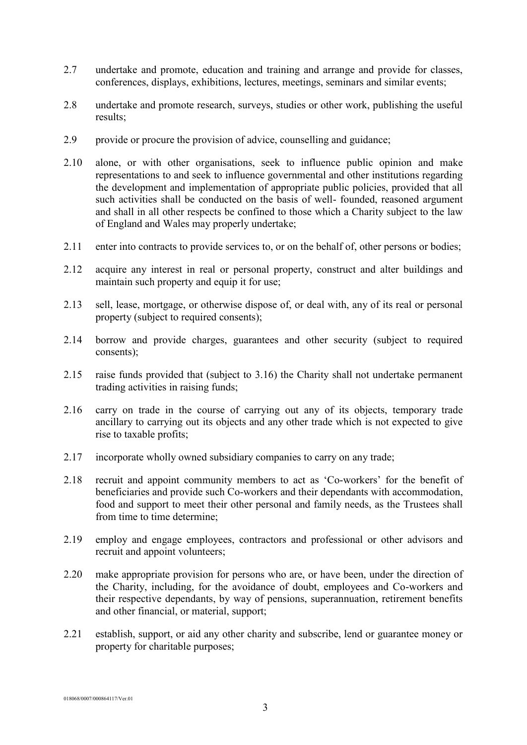- 2.7 undertake and promote, education and training and arrange and provide for classes, conferences, displays, exhibitions, lectures, meetings, seminars and similar events;
- 2.8 undertake and promote research, surveys, studies or other work, publishing the useful results;
- 2.9 provide or procure the provision of advice, counselling and guidance;
- 2.10 alone, or with other organisations, seek to influence public opinion and make representations to and seek to influence governmental and other institutions regarding the development and implementation of appropriate public policies, provided that all such activities shall be conducted on the basis of well- founded, reasoned argument and shall in all other respects be confined to those which a Charity subject to the law of England and Wales may properly undertake;
- 2.11 enter into contracts to provide services to, or on the behalf of, other persons or bodies;
- 2.12 acquire any interest in real or personal property, construct and alter buildings and maintain such property and equip it for use;
- 2.13 sell, lease, mortgage, or otherwise dispose of, or deal with, any of its real or personal property (subject to required consents);
- 2.14 borrow and provide charges, guarantees and other security (subject to required consents);
- 2.15 raise funds provided that (subject to 3.16) the Charity shall not undertake permanent trading activities in raising funds;
- 2.16 carry on trade in the course of carrying out any of its objects, temporary trade ancillary to carrying out its objects and any other trade which is not expected to give rise to taxable profits;
- 2.17 incorporate wholly owned subsidiary companies to carry on any trade;
- 2.18 recruit and appoint community members to act as 'Co-workers' for the benefit of beneficiaries and provide such Co-workers and their dependants with accommodation, food and support to meet their other personal and family needs, as the Trustees shall from time to time determine;
- 2.19 employ and engage employees, contractors and professional or other advisors and recruit and appoint volunteers;
- 2.20 make appropriate provision for persons who are, or have been, under the direction of the Charity, including, for the avoidance of doubt, employees and Co-workers and their respective dependants, by way of pensions, superannuation, retirement benefits and other financial, or material, support;
- 2.21 establish, support, or aid any other charity and subscribe, lend or guarantee money or property for charitable purposes;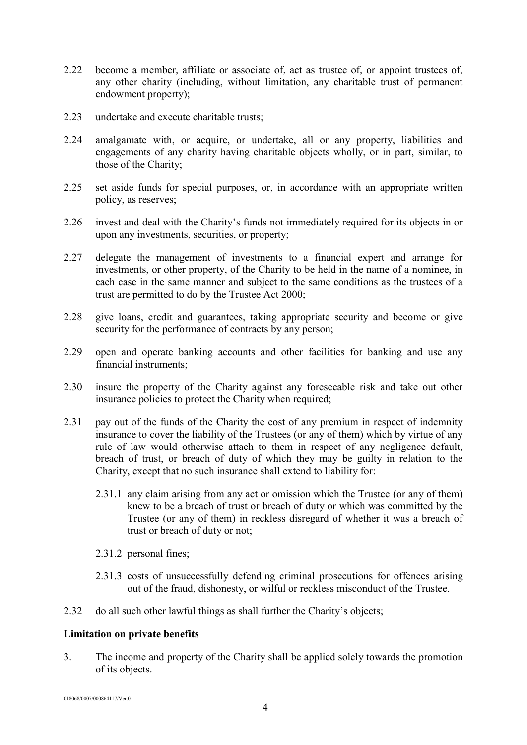- 2.22 become a member, affiliate or associate of, act as trustee of, or appoint trustees of, any other charity (including, without limitation, any charitable trust of permanent endowment property);
- 2.23 undertake and execute charitable trusts;
- 2.24 amalgamate with, or acquire, or undertake, all or any property, liabilities and engagements of any charity having charitable objects wholly, or in part, similar, to those of the Charity;
- 2.25 set aside funds for special purposes, or, in accordance with an appropriate written policy, as reserves;
- 2.26 invest and deal with the Charity's funds not immediately required for its objects in or upon any investments, securities, or property;
- 2.27 delegate the management of investments to a financial expert and arrange for investments, or other property, of the Charity to be held in the name of a nominee, in each case in the same manner and subject to the same conditions as the trustees of a trust are permitted to do by the Trustee Act 2000;
- 2.28 give loans, credit and guarantees, taking appropriate security and become or give security for the performance of contracts by any person;
- 2.29 open and operate banking accounts and other facilities for banking and use any financial instruments;
- 2.30 insure the property of the Charity against any foreseeable risk and take out other insurance policies to protect the Charity when required;
- 2.31 pay out of the funds of the Charity the cost of any premium in respect of indemnity insurance to cover the liability of the Trustees (or any of them) which by virtue of any rule of law would otherwise attach to them in respect of any negligence default, breach of trust, or breach of duty of which they may be guilty in relation to the Charity, except that no such insurance shall extend to liability for:
	- 2.31.1 any claim arising from any act or omission which the Trustee (or any of them) knew to be a breach of trust or breach of duty or which was committed by the Trustee (or any of them) in reckless disregard of whether it was a breach of trust or breach of duty or not;
	- 2.31.2 personal fines;
	- 2.31.3 costs of unsuccessfully defending criminal prosecutions for offences arising out of the fraud, dishonesty, or wilful or reckless misconduct of the Trustee.
- 2.32 do all such other lawful things as shall further the Charity's objects;

#### **Limitation on private benefits**

3. The income and property of the Charity shall be applied solely towards the promotion of its objects.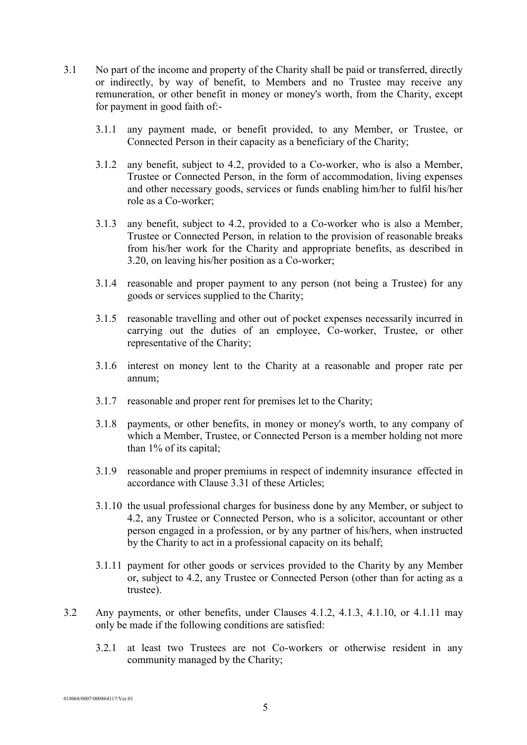- 3.1 No part of the income and property of the Charity shall be paid or transferred, directly or indirectly, by way of benefit, to Members and no Trustee may receive any remuneration, or other benefit in money or money's worth, from the Charity, except for payment in good faith of:-
	- 3.1.1 any payment made, or benefit provided, to any Member, or Trustee, or Connected Person in their capacity as a beneficiary of the Charity;
	- 3.1.2 any benefit, subject to 4.2, provided to a Co-worker, who is also a Member, Trustee or Connected Person, in the form of accommodation, living expenses and other necessary goods, services or funds enabling him/her to fulfil his/her role as a Co-worker;
	- 3.1.3 any benefit, subject to 4.2, provided to a Co-worker who is also a Member, Trustee or Connected Person, in relation to the provision of reasonable breaks from his/her work for the Charity and appropriate benefits, as described in 3.20, on leaving his/her position as a Co-worker;
	- 3.1.4 reasonable and proper payment to any person (not being a Trustee) for any goods or services supplied to the Charity;
	- 3.1.5 reasonable travelling and other out of pocket expenses necessarily incurred in carrying out the duties of an employee, Co-worker, Trustee, or other representative of the Charity;
	- 3.1.6 interest on money lent to the Charity at a reasonable and proper rate per annum;
	- 3.1.7 reasonable and proper rent for premises let to the Charity;
	- 3.1.8 payments, or other benefits, in money or money's worth, to any company of which a Member, Trustee, or Connected Person is a member holding not more than 1% of its capital;
	- 3.1.9 reasonable and proper premiums in respect of indemnity insurance effected in accordance with Clause 3.31 of these Articles;
	- 3.1.10 the usual professional charges for business done by any Member, or subject to 4.2, any Trustee or Connected Person, who is a solicitor, accountant or other person engaged in a profession, or by any partner of his/hers, when instructed by the Charity to act in a professional capacity on its behalf;
	- 3.1.11 payment for other goods or services provided to the Charity by any Member or, subject to 4.2, any Trustee or Connected Person (other than for acting as a trustee).
- 3.2 Any payments, or other benefits, under Clauses 4.1.2, 4.1.3, 4.1.10, or 4.1.11 may only be made if the following conditions are satisfied:
	- 3.2.1 at least two Trustees are not Co-workers or otherwise resident in any community managed by the Charity;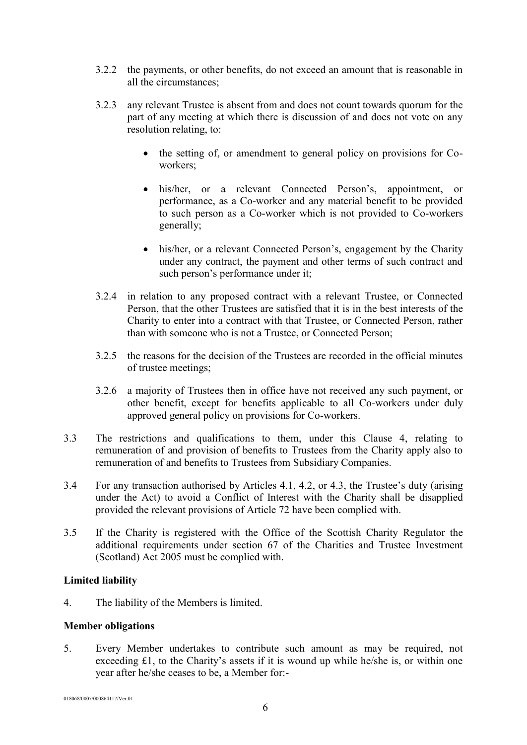- 3.2.2 the payments, or other benefits, do not exceed an amount that is reasonable in all the circumstances;
- 3.2.3 any relevant Trustee is absent from and does not count towards quorum for the part of any meeting at which there is discussion of and does not vote on any resolution relating, to:
	- the setting of, or amendment to general policy on provisions for Coworkers;
	- his/her, or a relevant Connected Person's, appointment, or performance, as a Co-worker and any material benefit to be provided to such person as a Co-worker which is not provided to Co-workers generally;
	- his/her, or a relevant Connected Person's, engagement by the Charity under any contract, the payment and other terms of such contract and such person's performance under it;
- 3.2.4 in relation to any proposed contract with a relevant Trustee, or Connected Person, that the other Trustees are satisfied that it is in the best interests of the Charity to enter into a contract with that Trustee, or Connected Person, rather than with someone who is not a Trustee, or Connected Person;
- 3.2.5 the reasons for the decision of the Trustees are recorded in the official minutes of trustee meetings;
- 3.2.6 a majority of Trustees then in office have not received any such payment, or other benefit, except for benefits applicable to all Co-workers under duly approved general policy on provisions for Co-workers.
- 3.3 The restrictions and qualifications to them, under this Clause 4, relating to remuneration of and provision of benefits to Trustees from the Charity apply also to remuneration of and benefits to Trustees from Subsidiary Companies.
- 3.4 For any transaction authorised by Articles 4.1, 4.2, or 4.3, the Trustee's duty (arising under the Act) to avoid a Conflict of Interest with the Charity shall be disapplied provided the relevant provisions of Article 72 have been complied with.
- 3.5 If the Charity is registered with the Office of the Scottish Charity Regulator the additional requirements under section 67 of the Charities and Trustee Investment (Scotland) Act 2005 must be complied with.

# **Limited liability**

4. The liability of the Members is limited.

#### **Member obligations**

5. Every Member undertakes to contribute such amount as may be required, not exceeding £1, to the Charity's assets if it is wound up while he/she is, or within one year after he/she ceases to be, a Member for:-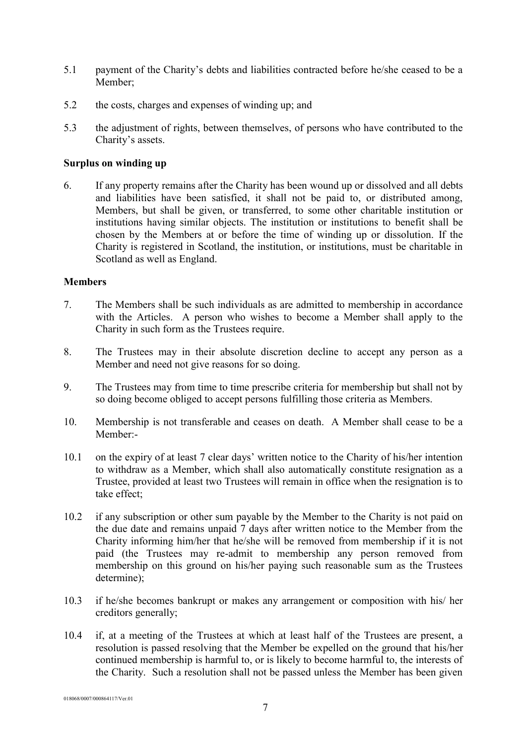- 5.1 payment of the Charity's debts and liabilities contracted before he/she ceased to be a Member;
- 5.2 the costs, charges and expenses of winding up; and
- 5.3 the adjustment of rights, between themselves, of persons who have contributed to the Charity's assets.

#### **Surplus on winding up**

6. If any property remains after the Charity has been wound up or dissolved and all debts and liabilities have been satisfied, it shall not be paid to, or distributed among, Members, but shall be given, or transferred, to some other charitable institution or institutions having similar objects. The institution or institutions to benefit shall be chosen by the Members at or before the time of winding up or dissolution. If the Charity is registered in Scotland, the institution, or institutions, must be charitable in Scotland as well as England.

#### **Members**

- 7. The Members shall be such individuals as are admitted to membership in accordance with the Articles. A person who wishes to become a Member shall apply to the Charity in such form as the Trustees require.
- 8. The Trustees may in their absolute discretion decline to accept any person as a Member and need not give reasons for so doing.
- 9. The Trustees may from time to time prescribe criteria for membership but shall not by so doing become obliged to accept persons fulfilling those criteria as Members.
- 10. Membership is not transferable and ceases on death. A Member shall cease to be a Member:-
- 10.1 on the expiry of at least 7 clear days' written notice to the Charity of his/her intention to withdraw as a Member, which shall also automatically constitute resignation as a Trustee, provided at least two Trustees will remain in office when the resignation is to take effect;
- 10.2 if any subscription or other sum payable by the Member to the Charity is not paid on the due date and remains unpaid 7 days after written notice to the Member from the Charity informing him/her that he/she will be removed from membership if it is not paid (the Trustees may re-admit to membership any person removed from membership on this ground on his/her paying such reasonable sum as the Trustees determine);
- 10.3 if he/she becomes bankrupt or makes any arrangement or composition with his/ her creditors generally;
- 10.4 if, at a meeting of the Trustees at which at least half of the Trustees are present, a resolution is passed resolving that the Member be expelled on the ground that his/her continued membership is harmful to, or is likely to become harmful to, the interests of the Charity. Such a resolution shall not be passed unless the Member has been given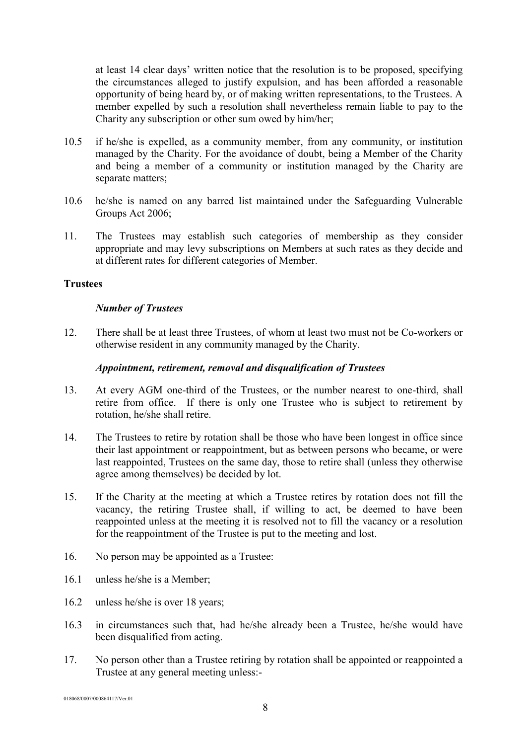at least 14 clear days' written notice that the resolution is to be proposed, specifying the circumstances alleged to justify expulsion, and has been afforded a reasonable opportunity of being heard by, or of making written representations, to the Trustees. A member expelled by such a resolution shall nevertheless remain liable to pay to the Charity any subscription or other sum owed by him/her;

- 10.5 if he/she is expelled, as a community member, from any community, or institution managed by the Charity. For the avoidance of doubt, being a Member of the Charity and being a member of a community or institution managed by the Charity are separate matters;
- 10.6 he/she is named on any barred list maintained under the Safeguarding Vulnerable Groups Act 2006;
- 11. The Trustees may establish such categories of membership as they consider appropriate and may levy subscriptions on Members at such rates as they decide and at different rates for different categories of Member.

#### **Trustees**

#### *Number of Trustees*

12. There shall be at least three Trustees, of whom at least two must not be Co-workers or otherwise resident in any community managed by the Charity.

#### *Appointment, retirement, removal and disqualification of Trustees*

- 13. At every AGM one-third of the Trustees, or the number nearest to one-third, shall retire from office. If there is only one Trustee who is subject to retirement by rotation, he/she shall retire.
- 14. The Trustees to retire by rotation shall be those who have been longest in office since their last appointment or reappointment, but as between persons who became, or were last reappointed, Trustees on the same day, those to retire shall (unless they otherwise agree among themselves) be decided by lot.
- 15. If the Charity at the meeting at which a Trustee retires by rotation does not fill the vacancy, the retiring Trustee shall, if willing to act, be deemed to have been reappointed unless at the meeting it is resolved not to fill the vacancy or a resolution for the reappointment of the Trustee is put to the meeting and lost.
- 16. No person may be appointed as a Trustee:
- 16.1 unless he/she is a Member;
- 16.2 unless he/she is over 18 years;
- 16.3 in circumstances such that, had he/she already been a Trustee, he/she would have been disqualified from acting.
- 17. No person other than a Trustee retiring by rotation shall be appointed or reappointed a Trustee at any general meeting unless:-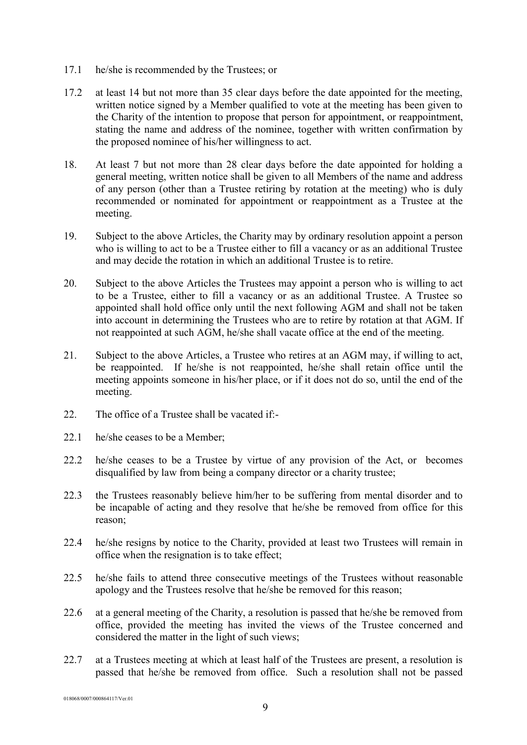- 17.1 he/she is recommended by the Trustees; or
- 17.2 at least 14 but not more than 35 clear days before the date appointed for the meeting, written notice signed by a Member qualified to vote at the meeting has been given to the Charity of the intention to propose that person for appointment, or reappointment, stating the name and address of the nominee, together with written confirmation by the proposed nominee of his/her willingness to act.
- 18. At least 7 but not more than 28 clear days before the date appointed for holding a general meeting, written notice shall be given to all Members of the name and address of any person (other than a Trustee retiring by rotation at the meeting) who is duly recommended or nominated for appointment or reappointment as a Trustee at the meeting.
- 19. Subject to the above Articles, the Charity may by ordinary resolution appoint a person who is willing to act to be a Trustee either to fill a vacancy or as an additional Trustee and may decide the rotation in which an additional Trustee is to retire.
- 20. Subject to the above Articles the Trustees may appoint a person who is willing to act to be a Trustee, either to fill a vacancy or as an additional Trustee. A Trustee so appointed shall hold office only until the next following AGM and shall not be taken into account in determining the Trustees who are to retire by rotation at that AGM. If not reappointed at such AGM, he/she shall vacate office at the end of the meeting.
- 21. Subject to the above Articles, a Trustee who retires at an AGM may, if willing to act, be reappointed. If he/she is not reappointed, he/she shall retain office until the meeting appoints someone in his/her place, or if it does not do so, until the end of the meeting.
- 22. The office of a Trustee shall be vacated if:-
- 22.1 he/she ceases to be a Member;
- 22.2 he/she ceases to be a Trustee by virtue of any provision of the Act, or becomes disqualified by law from being a company director or a charity trustee;
- 22.3 the Trustees reasonably believe him/her to be suffering from mental disorder and to be incapable of acting and they resolve that he/she be removed from office for this reason;
- 22.4 he/she resigns by notice to the Charity, provided at least two Trustees will remain in office when the resignation is to take effect;
- 22.5 he/she fails to attend three consecutive meetings of the Trustees without reasonable apology and the Trustees resolve that he/she be removed for this reason;
- 22.6 at a general meeting of the Charity, a resolution is passed that he/she be removed from office, provided the meeting has invited the views of the Trustee concerned and considered the matter in the light of such views;
- 22.7 at a Trustees meeting at which at least half of the Trustees are present, a resolution is passed that he/she be removed from office. Such a resolution shall not be passed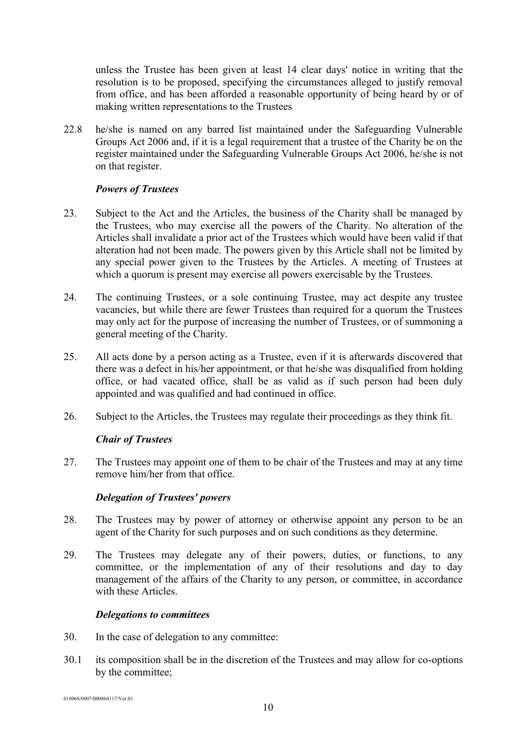unless the Trustee has been given at least 14 clear days' notice in writing that the resolution is to be proposed, specifying the circumstances alleged to justify removal from office, and has been afforded a reasonable opportunity of being heard by or of making written representations to the Trustees

22.8 he/she is named on any barred list maintained under the Safeguarding Vulnerable Groups Act 2006 and, if it is a legal requirement that a trustee of the Charity be on the register maintained under the Safeguarding Vulnerable Groups Act 2006, he/she is not on that register.

#### *Powers of Trustees*

- 23. Subject to the Act and the Articles, the business of the Charity shall be managed by the Trustees, who may exercise all the powers of the Charity. No alteration of the Articles shall invalidate a prior act of the Trustees which would have been valid if that alteration had not been made. The powers given by this Article shall not be limited by any special power given to the Trustees by the Articles. A meeting of Trustees at which a quorum is present may exercise all powers exercisable by the Trustees.
- 24. The continuing Trustees, or a sole continuing Trustee, may act despite any trustee vacancies, but while there are fewer Trustees than required for a quorum the Trustees may only act for the purpose of increasing the number of Trustees, or of summoning a general meeting of the Charity.
- 25. All acts done by a person acting as a Trustee, even if it is afterwards discovered that there was a defect in his/her appointment, or that he/she was disqualified from holding office, or had vacated office, shall be as valid as if such person had been duly appointed and was qualified and had continued in office.
- 26. Subject to the Articles, the Trustees may regulate their proceedings as they think fit.

#### *Chair of Trustees*

27. The Trustees may appoint one of them to be chair of the Trustees and may at any time remove him/her from that office.

#### *Delegation of Trustees' powers*

- 28. The Trustees may by power of attorney or otherwise appoint any person to be an agent of the Charity for such purposes and on such conditions as they determine.
- 29. The Trustees may delegate any of their powers, duties, or functions, to any committee, or the implementation of any of their resolutions and day to day management of the affairs of the Charity to any person, or committee, in accordance with these Articles.

#### *Delegations to committees*

- 30. In the case of delegation to any committee:
- 30.1 its composition shall be in the discretion of the Trustees and may allow for co-options by the committee;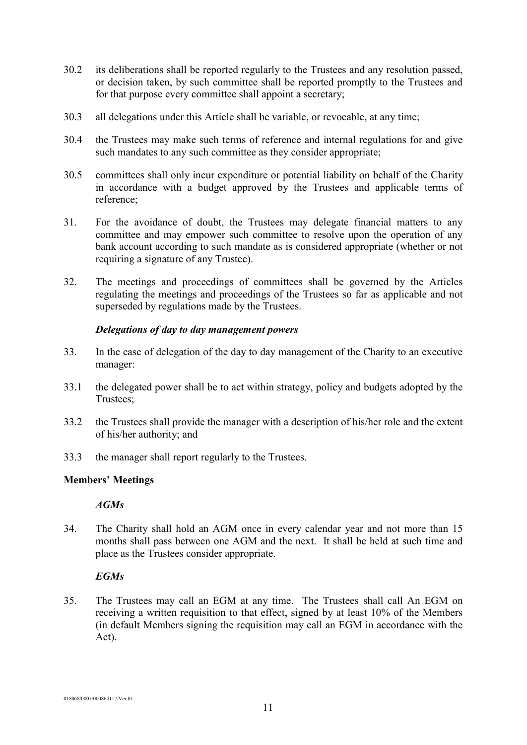- 30.2 its deliberations shall be reported regularly to the Trustees and any resolution passed, or decision taken, by such committee shall be reported promptly to the Trustees and for that purpose every committee shall appoint a secretary;
- 30.3 all delegations under this Article shall be variable, or revocable, at any time;
- 30.4 the Trustees may make such terms of reference and internal regulations for and give such mandates to any such committee as they consider appropriate;
- 30.5 committees shall only incur expenditure or potential liability on behalf of the Charity in accordance with a budget approved by the Trustees and applicable terms of reference;
- 31. For the avoidance of doubt, the Trustees may delegate financial matters to any committee and may empower such committee to resolve upon the operation of any bank account according to such mandate as is considered appropriate (whether or not requiring a signature of any Trustee).
- 32. The meetings and proceedings of committees shall be governed by the Articles regulating the meetings and proceedings of the Trustees so far as applicable and not superseded by regulations made by the Trustees.

# *Delegations of day to day management powers*

- 33. In the case of delegation of the day to day management of the Charity to an executive manager:
- 33.1 the delegated power shall be to act within strategy, policy and budgets adopted by the Trustees;
- 33.2 the Trustees shall provide the manager with a description of his/her role and the extent of his/her authority; and
- 33.3 the manager shall report regularly to the Trustees.

# **Members' Meetings**

# *AGMs*

34. The Charity shall hold an AGM once in every calendar year and not more than 15 months shall pass between one AGM and the next. It shall be held at such time and place as the Trustees consider appropriate.

# *EGMs*

35. The Trustees may call an EGM at any time. The Trustees shall call An EGM on receiving a written requisition to that effect, signed by at least 10% of the Members (in default Members signing the requisition may call an EGM in accordance with the Act).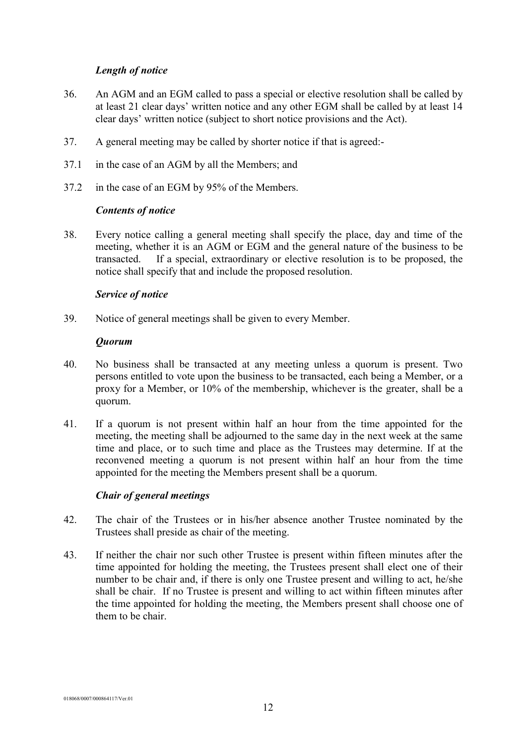#### *Length of notice*

- 36. An AGM and an EGM called to pass a special or elective resolution shall be called by at least 21 clear days' written notice and any other EGM shall be called by at least 14 clear days' written notice (subject to short notice provisions and the Act).
- 37. A general meeting may be called by shorter notice if that is agreed:-
- 37.1 in the case of an AGM by all the Members; and
- 37.2 in the case of an EGM by 95% of the Members.

# *Contents of notice*

38. Every notice calling a general meeting shall specify the place, day and time of the meeting, whether it is an AGM or EGM and the general nature of the business to be transacted. If a special, extraordinary or elective resolution is to be proposed, the notice shall specify that and include the proposed resolution.

# *Service of notice*

39. Notice of general meetings shall be given to every Member.

#### *Quorum*

- 40. No business shall be transacted at any meeting unless a quorum is present. Two persons entitled to vote upon the business to be transacted, each being a Member, or a proxy for a Member, or 10% of the membership, whichever is the greater, shall be a quorum.
- 41. If a quorum is not present within half an hour from the time appointed for the meeting, the meeting shall be adjourned to the same day in the next week at the same time and place, or to such time and place as the Trustees may determine. If at the reconvened meeting a quorum is not present within half an hour from the time appointed for the meeting the Members present shall be a quorum.

# *Chair of general meetings*

- 42. The chair of the Trustees or in his/her absence another Trustee nominated by the Trustees shall preside as chair of the meeting.
- 43. If neither the chair nor such other Trustee is present within fifteen minutes after the time appointed for holding the meeting, the Trustees present shall elect one of their number to be chair and, if there is only one Trustee present and willing to act, he/she shall be chair. If no Trustee is present and willing to act within fifteen minutes after the time appointed for holding the meeting, the Members present shall choose one of them to be chair.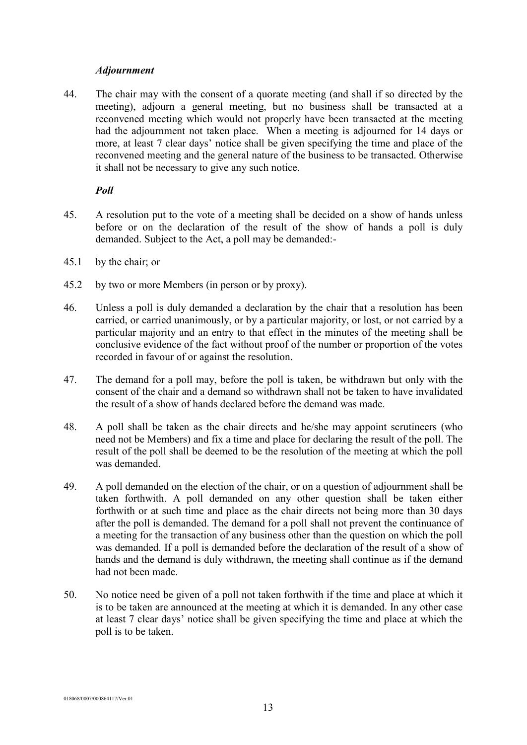#### *Adjournment*

44. The chair may with the consent of a quorate meeting (and shall if so directed by the meeting), adjourn a general meeting, but no business shall be transacted at a reconvened meeting which would not properly have been transacted at the meeting had the adjournment not taken place. When a meeting is adjourned for 14 days or more, at least 7 clear days' notice shall be given specifying the time and place of the reconvened meeting and the general nature of the business to be transacted. Otherwise it shall not be necessary to give any such notice.

#### *Poll*

- 45. A resolution put to the vote of a meeting shall be decided on a show of hands unless before or on the declaration of the result of the show of hands a poll is duly demanded. Subject to the Act, a poll may be demanded:-
- 45.1 by the chair; or
- 45.2 by two or more Members (in person or by proxy).
- 46. Unless a poll is duly demanded a declaration by the chair that a resolution has been carried, or carried unanimously, or by a particular majority, or lost, or not carried by a particular majority and an entry to that effect in the minutes of the meeting shall be conclusive evidence of the fact without proof of the number or proportion of the votes recorded in favour of or against the resolution.
- 47. The demand for a poll may, before the poll is taken, be withdrawn but only with the consent of the chair and a demand so withdrawn shall not be taken to have invalidated the result of a show of hands declared before the demand was made.
- 48. A poll shall be taken as the chair directs and he/she may appoint scrutineers (who need not be Members) and fix a time and place for declaring the result of the poll. The result of the poll shall be deemed to be the resolution of the meeting at which the poll was demanded.
- 49. A poll demanded on the election of the chair, or on a question of adjournment shall be taken forthwith. A poll demanded on any other question shall be taken either forthwith or at such time and place as the chair directs not being more than 30 days after the poll is demanded. The demand for a poll shall not prevent the continuance of a meeting for the transaction of any business other than the question on which the poll was demanded. If a poll is demanded before the declaration of the result of a show of hands and the demand is duly withdrawn, the meeting shall continue as if the demand had not been made.
- 50. No notice need be given of a poll not taken forthwith if the time and place at which it is to be taken are announced at the meeting at which it is demanded. In any other case at least 7 clear days' notice shall be given specifying the time and place at which the poll is to be taken.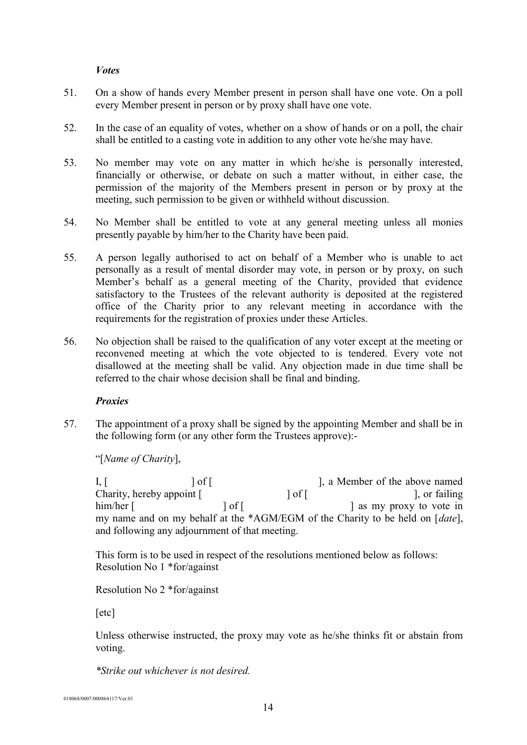#### *Votes*

- 51. On a show of hands every Member present in person shall have one vote. On a poll every Member present in person or by proxy shall have one vote.
- 52. In the case of an equality of votes, whether on a show of hands or on a poll, the chair shall be entitled to a casting vote in addition to any other vote he/she may have.
- 53. No member may vote on any matter in which he/she is personally interested, financially or otherwise, or debate on such a matter without, in either case, the permission of the majority of the Members present in person or by proxy at the meeting, such permission to be given or withheld without discussion.
- 54. No Member shall be entitled to vote at any general meeting unless all monies presently payable by him/her to the Charity have been paid.
- 55. A person legally authorised to act on behalf of a Member who is unable to act personally as a result of mental disorder may vote, in person or by proxy, on such Member's behalf as a general meeting of the Charity, provided that evidence satisfactory to the Trustees of the relevant authority is deposited at the registered office of the Charity prior to any relevant meeting in accordance with the requirements for the registration of proxies under these Articles.
- 56. No objection shall be raised to the qualification of any voter except at the meeting or reconvened meeting at which the vote objected to is tendered. Every vote not disallowed at the meeting shall be valid. Any objection made in due time shall be referred to the chair whose decision shall be final and binding.

#### *Proxies*

57. The appointment of a proxy shall be signed by the appointing Member and shall be in the following form (or any other form the Trustees approve):-

"[*Name of Charity*],

I,  $\begin{bmatrix} 1 & 1 \end{bmatrix}$  of  $\begin{bmatrix} 1 & 1 \end{bmatrix}$ , a Member of the above named Charity, hereby appoint [  $\qquad \qquad$  ] of [ ], or failing him/her [ ] of [ ] of [ ] as my proxy to vote in my name and on my behalf at the \*AGM/EGM of the Charity to be held on [*date*], and following any adjournment of that meeting.

This form is to be used in respect of the resolutions mentioned below as follows: Resolution No 1 \*for/against

Resolution No 2 \*for/against

[etc]

Unless otherwise instructed, the proxy may vote as he/she thinks fit or abstain from voting.

*\*Strike out whichever is not desired.*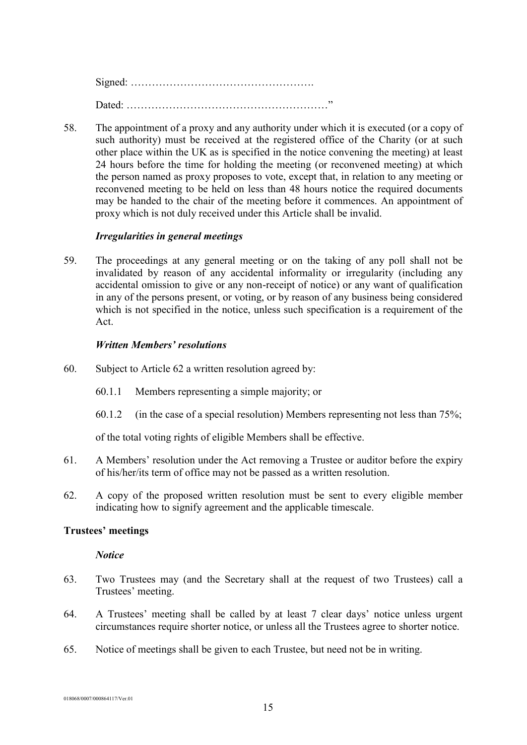Signed: ……………………………………………. Dated: …………………………………………………"

58. The appointment of a proxy and any authority under which it is executed (or a copy of such authority) must be received at the registered office of the Charity (or at such other place within the UK as is specified in the notice convening the meeting) at least 24 hours before the time for holding the meeting (or reconvened meeting) at which the person named as proxy proposes to vote, except that, in relation to any meeting or reconvened meeting to be held on less than 48 hours notice the required documents may be handed to the chair of the meeting before it commences. An appointment of proxy which is not duly received under this Article shall be invalid.

# *Irregularities in general meetings*

59. The proceedings at any general meeting or on the taking of any poll shall not be invalidated by reason of any accidental informality or irregularity (including any accidental omission to give or any non-receipt of notice) or any want of qualification in any of the persons present, or voting, or by reason of any business being considered which is not specified in the notice, unless such specification is a requirement of the Act.

#### *Written Members' resolutions*

- 60. Subject to Article 62 a written resolution agreed by:
	- 60.1.1 Members representing a simple majority; or
	- 60.1.2 (in the case of a special resolution) Members representing not less than  $75\%$ ;

of the total voting rights of eligible Members shall be effective.

- 61. A Members' resolution under the Act removing a Trustee or auditor before the expiry of his/her/its term of office may not be passed as a written resolution.
- 62. A copy of the proposed written resolution must be sent to every eligible member indicating how to signify agreement and the applicable timescale.

#### **Trustees' meetings**

#### *Notice*

- 63. Two Trustees may (and the Secretary shall at the request of two Trustees) call a Trustees' meeting.
- 64. A Trustees' meeting shall be called by at least 7 clear days' notice unless urgent circumstances require shorter notice, or unless all the Trustees agree to shorter notice.
- 65. Notice of meetings shall be given to each Trustee, but need not be in writing.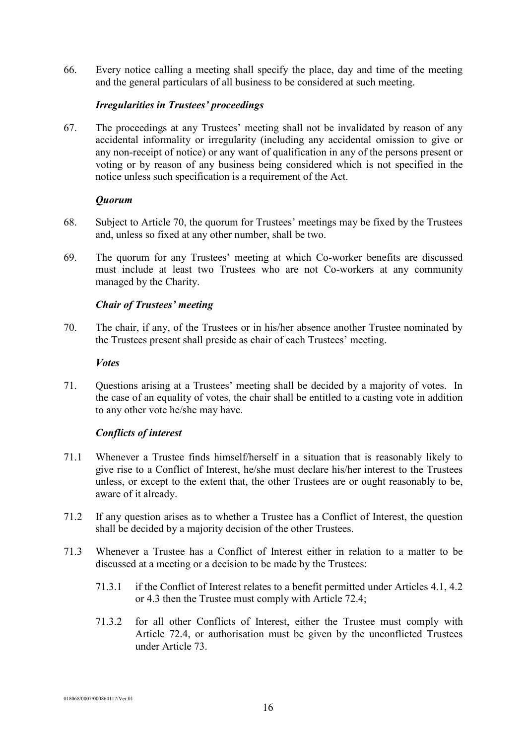66. Every notice calling a meeting shall specify the place, day and time of the meeting and the general particulars of all business to be considered at such meeting.

#### *Irregularities in Trustees' proceedings*

67. The proceedings at any Trustees' meeting shall not be invalidated by reason of any accidental informality or irregularity (including any accidental omission to give or any non-receipt of notice) or any want of qualification in any of the persons present or voting or by reason of any business being considered which is not specified in the notice unless such specification is a requirement of the Act.

#### *Quorum*

- 68. Subject to Article 70, the quorum for Trustees' meetings may be fixed by the Trustees and, unless so fixed at any other number, shall be two.
- 69. The quorum for any Trustees' meeting at which Co-worker benefits are discussed must include at least two Trustees who are not Co-workers at any community managed by the Charity.

# *Chair of Trustees' meeting*

70. The chair, if any, of the Trustees or in his/her absence another Trustee nominated by the Trustees present shall preside as chair of each Trustees' meeting.

#### *Votes*

71. Questions arising at a Trustees' meeting shall be decided by a majority of votes. In the case of an equality of votes, the chair shall be entitled to a casting vote in addition to any other vote he/she may have.

#### *Conflicts of interest*

- 71.1 Whenever a Trustee finds himself/herself in a situation that is reasonably likely to give rise to a Conflict of Interest, he/she must declare his/her interest to the Trustees unless, or except to the extent that, the other Trustees are or ought reasonably to be, aware of it already.
- 71.2 If any question arises as to whether a Trustee has a Conflict of Interest, the question shall be decided by a majority decision of the other Trustees.
- 71.3 Whenever a Trustee has a Conflict of Interest either in relation to a matter to be discussed at a meeting or a decision to be made by the Trustees:
	- 71.3.1 if the Conflict of Interest relates to a benefit permitted under Articles 4.1, 4.2 or 4.3 then the Trustee must comply with Article 72.4;
	- 71.3.2 for all other Conflicts of Interest, either the Trustee must comply with Article 72.4, or authorisation must be given by the unconflicted Trustees under Article 73.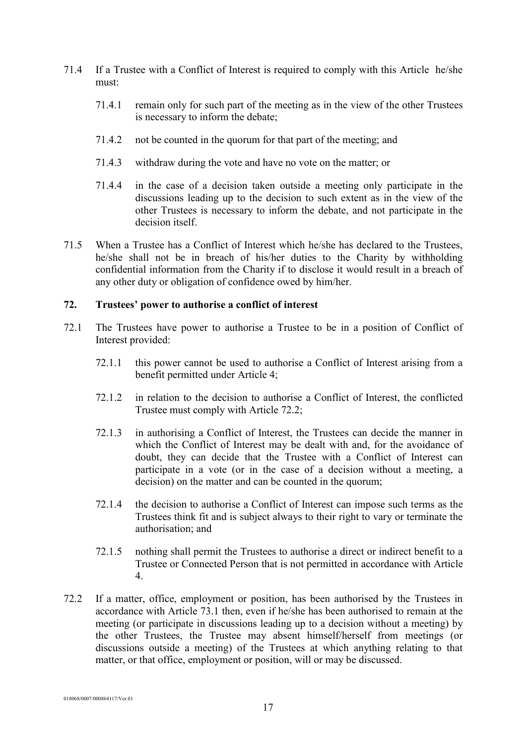- 71.4 If a Trustee with a Conflict of Interest is required to comply with this Article he/she must:
	- 71.4.1 remain only for such part of the meeting as in the view of the other Trustees is necessary to inform the debate;
	- 71.4.2 not be counted in the quorum for that part of the meeting; and
	- 71.4.3 withdraw during the vote and have no vote on the matter; or
	- 71.4.4 in the case of a decision taken outside a meeting only participate in the discussions leading up to the decision to such extent as in the view of the other Trustees is necessary to inform the debate, and not participate in the decision itself
- 71.5 When a Trustee has a Conflict of Interest which he/she has declared to the Trustees, he/she shall not be in breach of his/her duties to the Charity by withholding confidential information from the Charity if to disclose it would result in a breach of any other duty or obligation of confidence owed by him/her.

#### **72. Trustees' power to authorise a conflict of interest**

- 72.1 The Trustees have power to authorise a Trustee to be in a position of Conflict of Interest provided:
	- 72.1.1 this power cannot be used to authorise a Conflict of Interest arising from a benefit permitted under Article 4;
	- 72.1.2 in relation to the decision to authorise a Conflict of Interest, the conflicted Trustee must comply with Article 72.2;
	- 72.1.3 in authorising a Conflict of Interest, the Trustees can decide the manner in which the Conflict of Interest may be dealt with and, for the avoidance of doubt, they can decide that the Trustee with a Conflict of Interest can participate in a vote (or in the case of a decision without a meeting, a decision) on the matter and can be counted in the quorum;
	- 72.1.4 the decision to authorise a Conflict of Interest can impose such terms as the Trustees think fit and is subject always to their right to vary or terminate the authorisation; and
	- 72.1.5 nothing shall permit the Trustees to authorise a direct or indirect benefit to a Trustee or Connected Person that is not permitted in accordance with Article 4.
- 72.2 If a matter, office, employment or position, has been authorised by the Trustees in accordance with Article 73.1 then, even if he/she has been authorised to remain at the meeting (or participate in discussions leading up to a decision without a meeting) by the other Trustees, the Trustee may absent himself/herself from meetings (or discussions outside a meeting) of the Trustees at which anything relating to that matter, or that office, employment or position, will or may be discussed.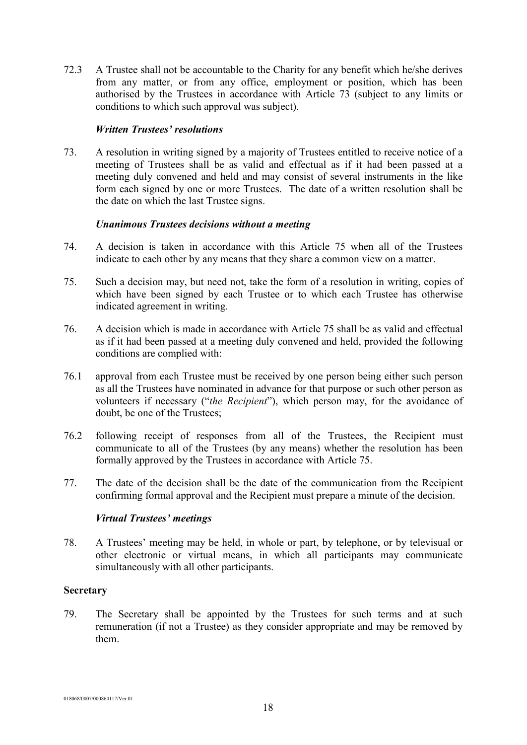72.3 A Trustee shall not be accountable to the Charity for any benefit which he/she derives from any matter, or from any office, employment or position, which has been authorised by the Trustees in accordance with Article 73 (subject to any limits or conditions to which such approval was subject).

#### *Written Trustees' resolutions*

73. A resolution in writing signed by a majority of Trustees entitled to receive notice of a meeting of Trustees shall be as valid and effectual as if it had been passed at a meeting duly convened and held and may consist of several instruments in the like form each signed by one or more Trustees. The date of a written resolution shall be the date on which the last Trustee signs.

#### *Unanimous Trustees decisions without a meeting*

- 74. A decision is taken in accordance with this Article 75 when all of the Trustees indicate to each other by any means that they share a common view on a matter.
- 75. Such a decision may, but need not, take the form of a resolution in writing, copies of which have been signed by each Trustee or to which each Trustee has otherwise indicated agreement in writing.
- 76. A decision which is made in accordance with Article 75 shall be as valid and effectual as if it had been passed at a meeting duly convened and held, provided the following conditions are complied with:
- 76.1 approval from each Trustee must be received by one person being either such person as all the Trustees have nominated in advance for that purpose or such other person as volunteers if necessary ("*the Recipient*"), which person may, for the avoidance of doubt, be one of the Trustees;
- 76.2 following receipt of responses from all of the Trustees, the Recipient must communicate to all of the Trustees (by any means) whether the resolution has been formally approved by the Trustees in accordance with Article 75.
- 77. The date of the decision shall be the date of the communication from the Recipient confirming formal approval and the Recipient must prepare a minute of the decision.

#### *Virtual Trustees' meetings*

78. A Trustees' meeting may be held, in whole or part, by telephone, or by televisual or other electronic or virtual means, in which all participants may communicate simultaneously with all other participants.

#### **Secretary**

79. The Secretary shall be appointed by the Trustees for such terms and at such remuneration (if not a Trustee) as they consider appropriate and may be removed by them.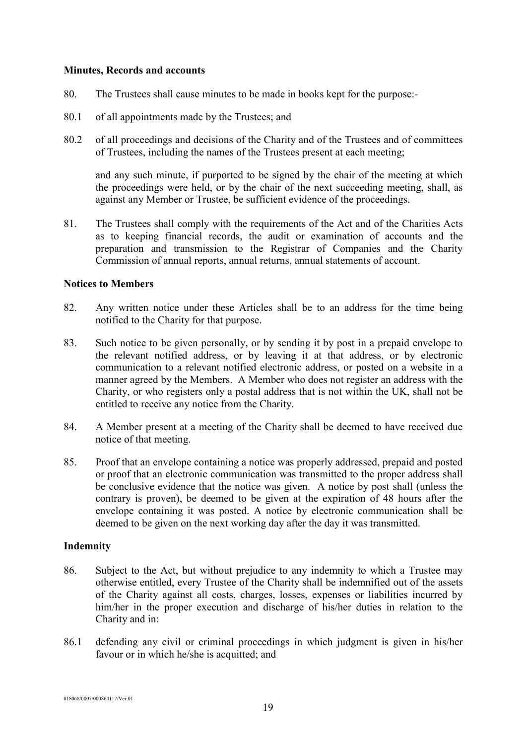#### **Minutes, Records and accounts**

- 80. The Trustees shall cause minutes to be made in books kept for the purpose:-
- 80.1 of all appointments made by the Trustees; and
- 80.2 of all proceedings and decisions of the Charity and of the Trustees and of committees of Trustees, including the names of the Trustees present at each meeting;

and any such minute, if purported to be signed by the chair of the meeting at which the proceedings were held, or by the chair of the next succeeding meeting, shall, as against any Member or Trustee, be sufficient evidence of the proceedings.

81. The Trustees shall comply with the requirements of the Act and of the Charities Acts as to keeping financial records, the audit or examination of accounts and the preparation and transmission to the Registrar of Companies and the Charity Commission of annual reports, annual returns, annual statements of account.

#### **Notices to Members**

- 82. Any written notice under these Articles shall be to an address for the time being notified to the Charity for that purpose.
- 83. Such notice to be given personally, or by sending it by post in a prepaid envelope to the relevant notified address, or by leaving it at that address, or by electronic communication to a relevant notified electronic address, or posted on a website in a manner agreed by the Members. A Member who does not register an address with the Charity, or who registers only a postal address that is not within the UK, shall not be entitled to receive any notice from the Charity.
- 84. A Member present at a meeting of the Charity shall be deemed to have received due notice of that meeting.
- 85. Proof that an envelope containing a notice was properly addressed, prepaid and posted or proof that an electronic communication was transmitted to the proper address shall be conclusive evidence that the notice was given. A notice by post shall (unless the contrary is proven), be deemed to be given at the expiration of 48 hours after the envelope containing it was posted. A notice by electronic communication shall be deemed to be given on the next working day after the day it was transmitted.

#### **Indemnity**

- 86. Subject to the Act, but without prejudice to any indemnity to which a Trustee may otherwise entitled, every Trustee of the Charity shall be indemnified out of the assets of the Charity against all costs, charges, losses, expenses or liabilities incurred by him/her in the proper execution and discharge of his/her duties in relation to the Charity and in:
- 86.1 defending any civil or criminal proceedings in which judgment is given in his/her favour or in which he/she is acquitted; and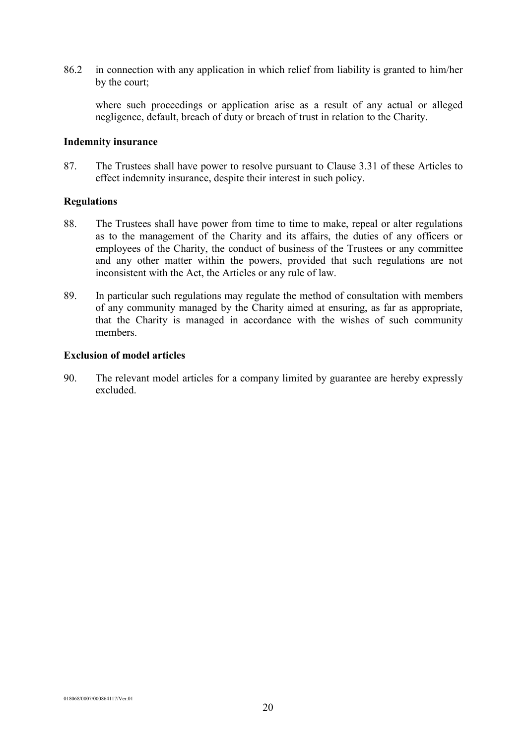86.2 in connection with any application in which relief from liability is granted to him/her by the court;

where such proceedings or application arise as a result of any actual or alleged negligence, default, breach of duty or breach of trust in relation to the Charity.

#### **Indemnity insurance**

87. The Trustees shall have power to resolve pursuant to Clause 3.31 of these Articles to effect indemnity insurance, despite their interest in such policy.

#### **Regulations**

- 88. The Trustees shall have power from time to time to make, repeal or alter regulations as to the management of the Charity and its affairs, the duties of any officers or employees of the Charity, the conduct of business of the Trustees or any committee and any other matter within the powers, provided that such regulations are not inconsistent with the Act, the Articles or any rule of law.
- 89. In particular such regulations may regulate the method of consultation with members of any community managed by the Charity aimed at ensuring, as far as appropriate, that the Charity is managed in accordance with the wishes of such community members.

#### **Exclusion of model articles**

90. The relevant model articles for a company limited by guarantee are hereby expressly excluded.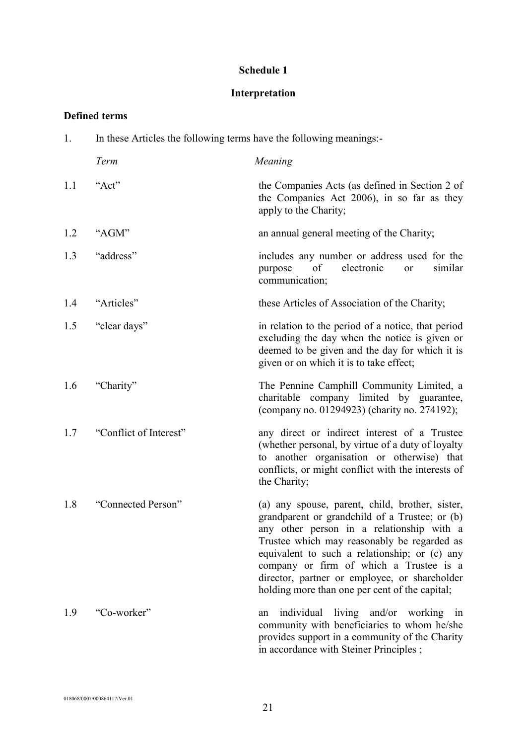# **Schedule 1**

# **Interpretation**

# **Defined terms**

| 1.  | In these Articles the following terms have the following meanings:- |                                                                                                                                                                                                                                                                                                                                                                                              |
|-----|---------------------------------------------------------------------|----------------------------------------------------------------------------------------------------------------------------------------------------------------------------------------------------------------------------------------------------------------------------------------------------------------------------------------------------------------------------------------------|
|     | Term                                                                | Meaning                                                                                                                                                                                                                                                                                                                                                                                      |
| 1.1 | "Act"                                                               | the Companies Acts (as defined in Section 2 of<br>the Companies Act 2006), in so far as they<br>apply to the Charity;                                                                                                                                                                                                                                                                        |
| 1.2 | "AGM"                                                               | an annual general meeting of the Charity;                                                                                                                                                                                                                                                                                                                                                    |
| 1.3 | "address"                                                           | includes any number or address used for the<br>of<br>electronic<br>similar<br>purpose<br>or<br>communication;                                                                                                                                                                                                                                                                                |
| 1.4 | "Articles"                                                          | these Articles of Association of the Charity;                                                                                                                                                                                                                                                                                                                                                |
| 1.5 | "clear days"                                                        | in relation to the period of a notice, that period<br>excluding the day when the notice is given or<br>deemed to be given and the day for which it is<br>given or on which it is to take effect;                                                                                                                                                                                             |
| 1.6 | "Charity"                                                           | The Pennine Camphill Community Limited, a<br>charitable company limited by guarantee,<br>(company no. 01294923) (charity no. 274192);                                                                                                                                                                                                                                                        |
| 1.7 | "Conflict of Interest"                                              | any direct or indirect interest of a Trustee<br>(whether personal, by virtue of a duty of loyalty<br>to another organisation or otherwise) that<br>conflicts, or might conflict with the interests of<br>the Charity;                                                                                                                                                                        |
| 1.8 | "Connected Person"                                                  | (a) any spouse, parent, child, brother, sister,<br>grandparent or grandchild of a Trustee; or (b)<br>any other person in a relationship with a<br>Trustee which may reasonably be regarded as<br>equivalent to such a relationship; or (c) any<br>company or firm of which a Trustee is a<br>director, partner or employee, or shareholder<br>holding more than one per cent of the capital; |
| 1.9 | "Co-worker"                                                         | individual living and/or working in<br>an<br>community with beneficiaries to whom he/she<br>provides support in a community of the Charity<br>in accordance with Steiner Principles;                                                                                                                                                                                                         |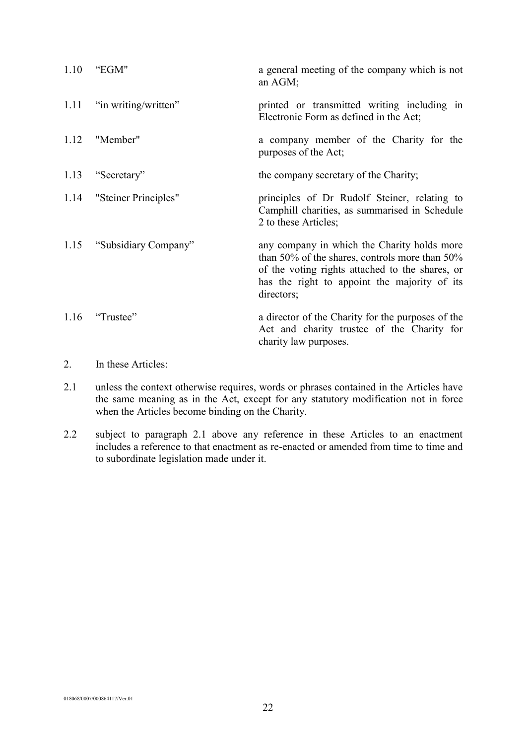| 1.10 | "EGM"                     | a general meeting of the company which is not<br>an AGM;                                                                                                                                                       |
|------|---------------------------|----------------------------------------------------------------------------------------------------------------------------------------------------------------------------------------------------------------|
|      | 1.11 "in writing/written" | printed or transmitted writing including in<br>Electronic Form as defined in the Act;                                                                                                                          |
| 1.12 | "Member"                  | a company member of the Charity for the<br>purposes of the Act;                                                                                                                                                |
| 1.13 | "Secretary"               | the company secretary of the Charity;                                                                                                                                                                          |
|      | 1.14 "Steiner Principles" | principles of Dr Rudolf Steiner, relating to<br>Camphill charities, as summarised in Schedule<br>2 to these Articles;                                                                                          |
| 1.15 | "Subsidiary Company"      | any company in which the Charity holds more<br>than 50% of the shares, controls more than 50%<br>of the voting rights attached to the shares, or<br>has the right to appoint the majority of its<br>directors; |
| 1.16 | "Trustee"                 | a director of the Charity for the purposes of the<br>Act and charity trustee of the Charity for<br>charity law purposes.                                                                                       |

# 2. In these Articles:

- 2.1 unless the context otherwise requires, words or phrases contained in the Articles have the same meaning as in the Act, except for any statutory modification not in force when the Articles become binding on the Charity.
- 2.2 subject to paragraph 2.1 above any reference in these Articles to an enactment includes a reference to that enactment as re-enacted or amended from time to time and to subordinate legislation made under it.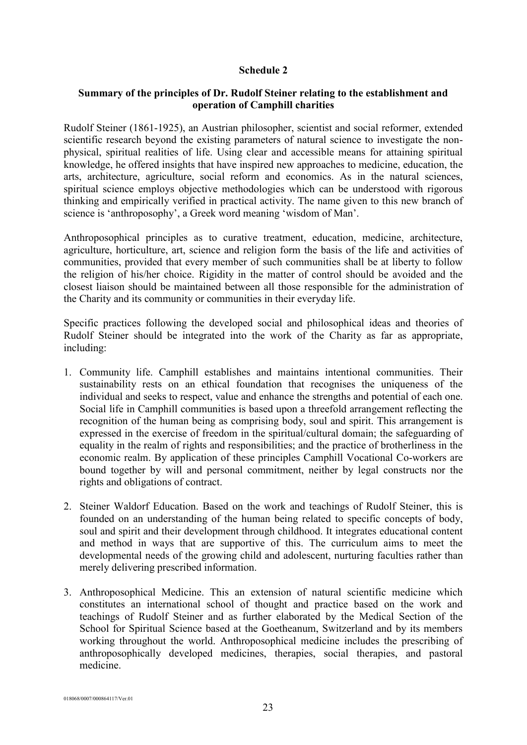#### **Schedule 2**

# **Summary of the principles of Dr. Rudolf Steiner relating to the establishment and operation of Camphill charities**

Rudolf Steiner (1861-1925), an Austrian philosopher, scientist and social reformer, extended scientific research beyond the existing parameters of natural science to investigate the nonphysical, spiritual realities of life. Using clear and accessible means for attaining spiritual knowledge, he offered insights that have inspired new approaches to medicine, education, the arts, architecture, agriculture, social reform and economics. As in the natural sciences, spiritual science employs objective methodologies which can be understood with rigorous thinking and empirically verified in practical activity. The name given to this new branch of science is 'anthroposophy', a Greek word meaning 'wisdom of Man'.

Anthroposophical principles as to curative treatment, education, medicine, architecture, agriculture, horticulture, art, science and religion form the basis of the life and activities of communities, provided that every member of such communities shall be at liberty to follow the religion of his/her choice. Rigidity in the matter of control should be avoided and the closest liaison should be maintained between all those responsible for the administration of the Charity and its community or communities in their everyday life.

Specific practices following the developed social and philosophical ideas and theories of Rudolf Steiner should be integrated into the work of the Charity as far as appropriate, including:

- 1. Community life. Camphill establishes and maintains intentional communities. Their sustainability rests on an ethical foundation that recognises the uniqueness of the individual and seeks to respect, value and enhance the strengths and potential of each one. Social life in Camphill communities is based upon a threefold arrangement reflecting the recognition of the human being as comprising body, soul and spirit. This arrangement is expressed in the exercise of freedom in the spiritual/cultural domain; the safeguarding of equality in the realm of rights and responsibilities; and the practice of brotherliness in the economic realm. By application of these principles Camphill Vocational Co-workers are bound together by will and personal commitment, neither by legal constructs nor the rights and obligations of contract.
- 2. Steiner Waldorf Education. Based on the work and teachings of Rudolf Steiner, this is founded on an understanding of the human being related to specific concepts of body, soul and spirit and their development through childhood. It integrates educational content and method in ways that are supportive of this. The curriculum aims to meet the developmental needs of the growing child and adolescent, nurturing faculties rather than merely delivering prescribed information.
- 3. Anthroposophical Medicine. This an extension of natural scientific medicine which constitutes an international school of thought and practice based on the work and teachings of Rudolf Steiner and as further elaborated by the Medical Section of the School for Spiritual Science based at the Goetheanum, Switzerland and by its members working throughout the world. Anthroposophical medicine includes the prescribing of anthroposophically developed medicines, therapies, social therapies, and pastoral medicine.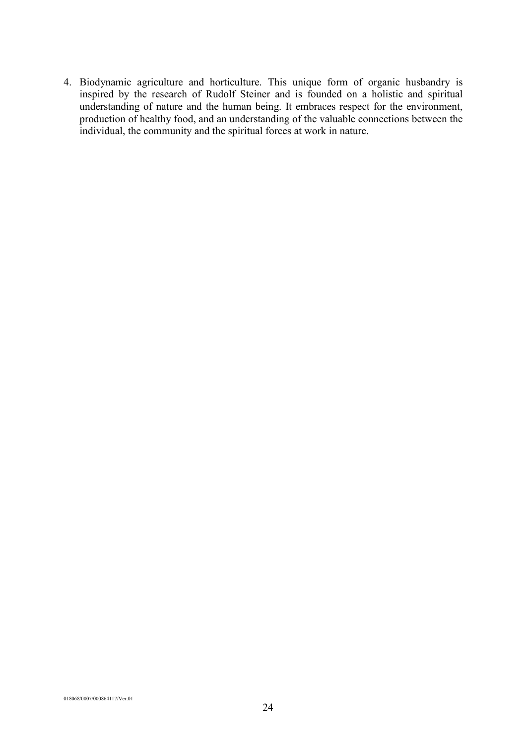4. Biodynamic agriculture and horticulture. This unique form of organic husbandry is inspired by the research of Rudolf Steiner and is founded on a holistic and spiritual understanding of nature and the human being. It embraces respect for the environment, production of healthy food, and an understanding of the valuable connections between the individual, the community and the spiritual forces at work in nature.